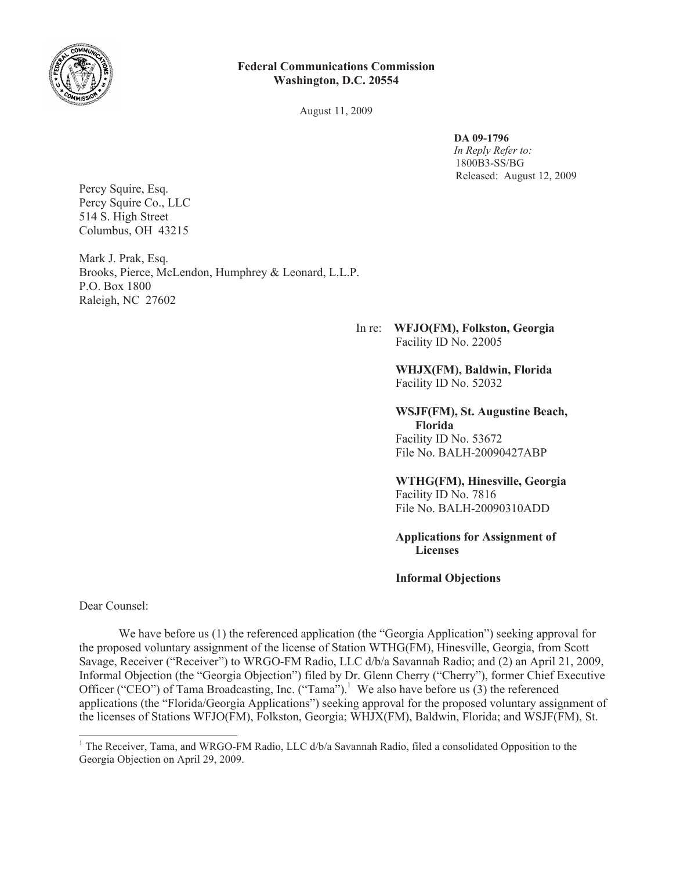

## **Federal Communications Commission Washington, D.C. 20554**

August 11, 2009

**DA 09-1796**

*In Reply Refer to:* 1800B3-SS/BG Released: August 12, 2009

Percy Squire, Esq. Percy Squire Co., LLC 514 S. High Street Columbus, OH 43215

Mark J. Prak, Esq. Brooks, Pierce, McLendon, Humphrey & Leonard, L.L.P. P.O. Box 1800 Raleigh, NC 27602

> In re: **WFJO(FM), Folkston, Georgia** Facility ID No. 22005

> > **WHJX(FM), Baldwin, Florida** Facility ID No. 52032

**WSJF(FM), St. Augustine Beach, Florida** Facility ID No. 53672 File No. BALH-20090427ABP

**WTHG(FM), Hinesville, Georgia** Facility ID No. 7816 File No. BALH-20090310ADD

**Applications for Assignment of Licenses**

**Informal Objections**

Dear Counsel:

We have before us (1) the referenced application (the "Georgia Application") seeking approval for the proposed voluntary assignment of the license of Station WTHG(FM), Hinesville, Georgia, from Scott Savage, Receiver ("Receiver") to WRGO-FM Radio, LLC d/b/a Savannah Radio; and (2) an April 21, 2009, Informal Objection (the "Georgia Objection") filed by Dr. Glenn Cherry ("Cherry"), former Chief Executive Officer ("CEO") of Tama Broadcasting, Inc. ("Tama").<sup>1</sup> We also have before us (3) the referenced applications (the "Florida/Georgia Applications") seeking approval for the proposed voluntary assignment of the licenses of Stations WFJO(FM), Folkston, Georgia; WHJX(FM), Baldwin, Florida; and WSJF(FM), St.

<sup>&</sup>lt;sup>1</sup> The Receiver, Tama, and WRGO-FM Radio, LLC d/b/a Savannah Radio, filed a consolidated Opposition to the Georgia Objection on April 29, 2009.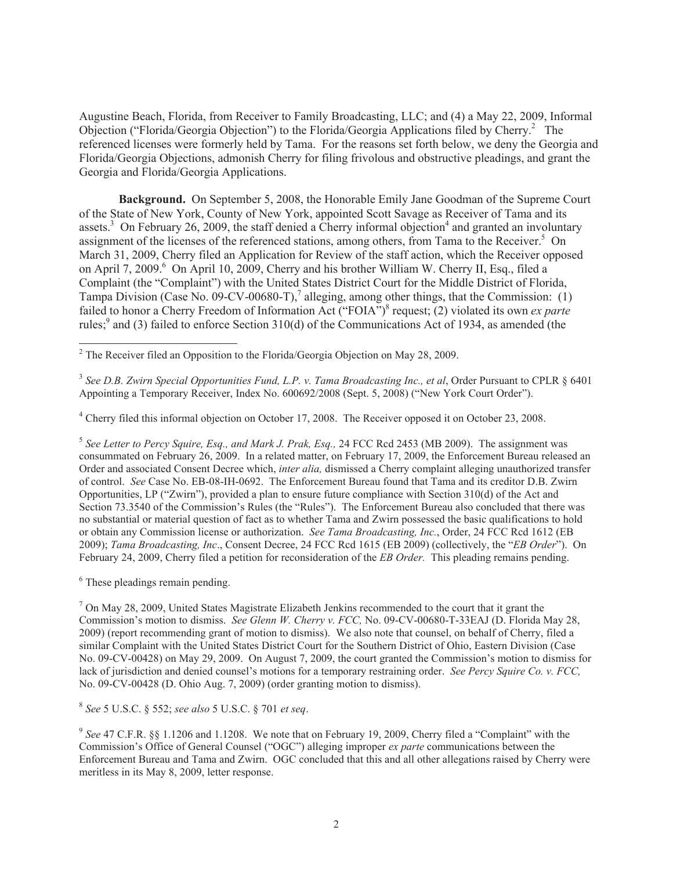Augustine Beach, Florida, from Receiver to Family Broadcasting, LLC; and (4) a May 22, 2009, Informal Objection ("Florida/Georgia Objection") to the Florida/Georgia Applications filed by Cherry.<sup>2</sup> The referenced licenses were formerly held by Tama. For the reasons set forth below, we deny the Georgia and Florida/Georgia Objections, admonish Cherry for filing frivolous and obstructive pleadings, and grant the Georgia and Florida/Georgia Applications.

**Background.** On September 5, 2008, the Honorable Emily Jane Goodman of the Supreme Court of the State of New York, County of New York, appointed Scott Savage as Receiver of Tama and its assets.<sup>3</sup> On February 26, 2009, the staff denied a Cherry informal objection<sup>4</sup> and granted an involuntary assignment of the licenses of the referenced stations, among others, from Tama to the Receiver.<sup>5</sup> On March 31, 2009, Cherry filed an Application for Review of the staff action, which the Receiver opposed on April 7, 2009. $\degree$  On April 10, 2009, Cherry and his brother William W. Cherry II, Esq., filed a Complaint (the "Complaint") with the United States District Court for the Middle District of Florida, Tampa Division (Case No. 09-CV-00680-T),<sup>7</sup> alleging, among other things, that the Commission: (1) failed to honor a Cherry Freedom of Information Act ("FOIA")<sup>8</sup> request; (2) violated its own *ex parte* rules;<sup>9</sup> and (3) failed to enforce Section 310(d) of the Communications Act of 1934, as amended (the

<sup>3</sup> See D.B. Zwirn Special Opportunities Fund, L.P. v. Tama Broadcasting Inc., et al, Order Pursuant to CPLR § 6401 Appointing a Temporary Receiver, Index No. 600692/2008 (Sept. 5, 2008) ("New York Court Order").

<sup>4</sup> Cherry filed this informal objection on October 17, 2008. The Receiver opposed it on October 23, 2008.

5 *See Letter to Percy Squire, Esq., and Mark J. Prak, Esq.,* 24 FCC Rcd 2453 (MB 2009). The assignment was consummated on February 26, 2009. In a related matter, on February 17, 2009, the Enforcement Bureau released an Order and associated Consent Decree which, *inter alia,* dismissed a Cherry complaint alleging unauthorized transfer of control. *See* Case No. EB-08-IH-0692. The Enforcement Bureau found that Tama and its creditor D.B. Zwirn Opportunities, LP ("Zwirn"), provided a plan to ensure future compliance with Section 310(d) of the Act and Section 73.3540 of the Commission's Rules (the "Rules"). The Enforcement Bureau also concluded that there was no substantial or material question of fact as to whether Tama and Zwirn possessed the basic qualifications to hold or obtain any Commission license or authorization. *See Tama Broadcasting, Inc.*, Order, 24 FCC Rcd 1612 (EB 2009); *Tama Broadcasting, Inc*., Consent Decree, 24 FCC Rcd 1615 (EB 2009) (collectively, the "*EB Order*"). On February 24, 2009, Cherry filed a petition for reconsideration of the *EB Order.* This pleading remains pending.

<sup>6</sup> These pleadings remain pending.

 $<sup>7</sup>$  On May 28, 2009, United States Magistrate Elizabeth Jenkins recommended to the court that it grant the</sup> Commission's motion to dismiss. *See Glenn W. Cherry v. FCC,* No. 09-CV-00680-T-33EAJ (D. Florida May 28, 2009) (report recommending grant of motion to dismiss). We also note that counsel, on behalf of Cherry, filed a similar Complaint with the United States District Court for the Southern District of Ohio, Eastern Division (Case No. 09-CV-00428) on May 29, 2009. On August 7, 2009, the court granted the Commission's motion to dismiss for lack of jurisdiction and denied counsel's motions for a temporary restraining order. *See Percy Squire Co. v. FCC,*  No. 09-CV-00428 (D. Ohio Aug. 7, 2009) (order granting motion to dismiss).

8 *See* 5 U.S.C. § 552; *see also* 5 U.S.C. § 701 *et seq*.

<sup>2</sup> The Receiver filed an Opposition to the Florida/Georgia Objection on May 28, 2009.

<sup>&</sup>lt;sup>9</sup> See 47 C.F.R. §§ 1.1206 and 1.1208. We note that on February 19, 2009, Cherry filed a "Complaint" with the Commission's Office of General Counsel ("OGC") alleging improper *ex parte* communications between the Enforcement Bureau and Tama and Zwirn. OGC concluded that this and all other allegations raised by Cherry were meritless in its May 8, 2009, letter response.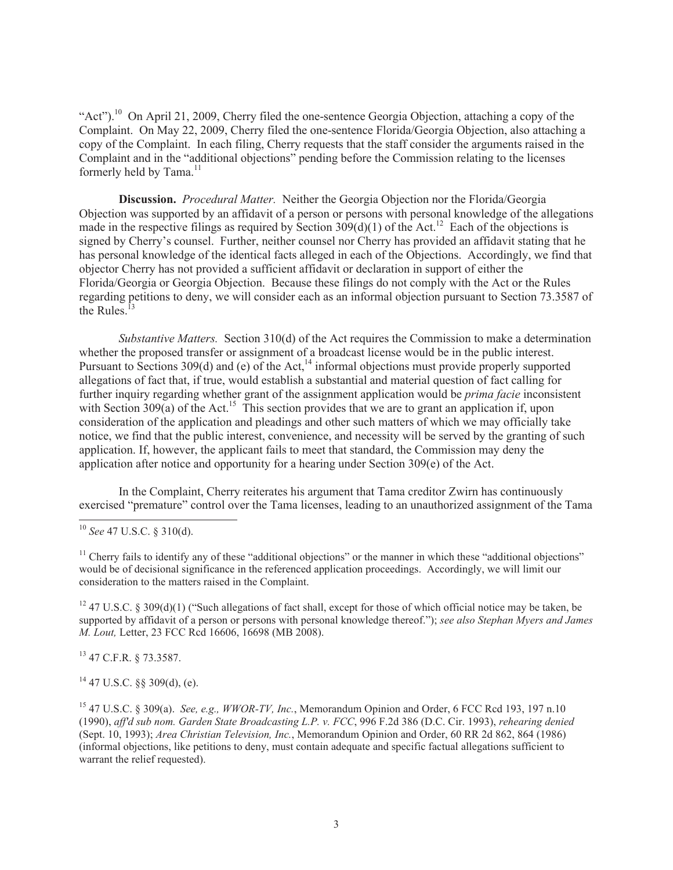"Act").<sup>10</sup> On April 21, 2009, Cherry filed the one-sentence Georgia Objection, attaching a copy of the Complaint. On May 22, 2009, Cherry filed the one-sentence Florida/Georgia Objection, also attaching a copy of the Complaint. In each filing, Cherry requests that the staff consider the arguments raised in the Complaint and in the "additional objections" pending before the Commission relating to the licenses formerly held by  $Tama.<sup>11</sup>$ 

**Discussion.** *Procedural Matter.* Neither the Georgia Objection nor the Florida/Georgia Objection was supported by an affidavit of a person or persons with personal knowledge of the allegations made in the respective filings as required by Section  $309(d)(1)$  of the Act.<sup>12</sup> Each of the objections is signed by Cherry's counsel. Further, neither counsel nor Cherry has provided an affidavit stating that he has personal knowledge of the identical facts alleged in each of the Objections. Accordingly, we find that objector Cherry has not provided a sufficient affidavit or declaration in support of either the Florida/Georgia or Georgia Objection. Because these filings do not comply with the Act or the Rules regarding petitions to deny, we will consider each as an informal objection pursuant to Section 73.3587 of the Rules $\frac{1}{1}$ 

*Substantive Matters.* Section 310(d) of the Act requires the Commission to make a determination whether the proposed transfer or assignment of a broadcast license would be in the public interest. Pursuant to Sections 309(d) and (e) of the Act,<sup>14</sup> informal objections must provide properly supported allegations of fact that, if true, would establish a substantial and material question of fact calling for further inquiry regarding whether grant of the assignment application would be *prima facie* inconsistent with Section  $309(a)$  of the Act.<sup>15</sup> This section provides that we are to grant an application if, upon consideration of the application and pleadings and other such matters of which we may officially take notice, we find that the public interest, convenience, and necessity will be served by the granting of such application. If, however, the applicant fails to meet that standard, the Commission may deny the application after notice and opportunity for a hearing under Section 309(e) of the Act.

In the Complaint, Cherry reiterates his argument that Tama creditor Zwirn has continuously exercised "premature" control over the Tama licenses, leading to an unauthorized assignment of the Tama

<sup>12</sup> 47 U.S.C. § 309(d)(1) ("Such allegations of fact shall, except for those of which official notice may be taken, be supported by affidavit of a person or persons with personal knowledge thereof."); *see also Stephan Myers and James M. Lout,* Letter, 23 FCC Rcd 16606, 16698 (MB 2008).

<sup>13</sup> 47 C.F.R. § 73.3587.

 $^{14}$  47 U.S.C. 88 309(d), (e).

<sup>15</sup> 47 U.S.C. § 309(a). *See, e.g., WWOR-TV, Inc.*, Memorandum Opinion and Order, 6 FCC Rcd 193, 197 n.10 (1990), *aff'd sub nom. Garden State Broadcasting L.P. v. FCC*, 996 F.2d 386 (D.C. Cir. 1993), *rehearing denied* (Sept. 10, 1993); *Area Christian Television, Inc.*, Memorandum Opinion and Order, 60 RR 2d 862, 864 (1986) (informal objections, like petitions to deny, must contain adequate and specific factual allegations sufficient to warrant the relief requested).

<sup>10</sup> *See* 47 U.S.C. § 310(d).

 $11$  Cherry fails to identify any of these "additional objections" or the manner in which these "additional objections" would be of decisional significance in the referenced application proceedings. Accordingly, we will limit our consideration to the matters raised in the Complaint.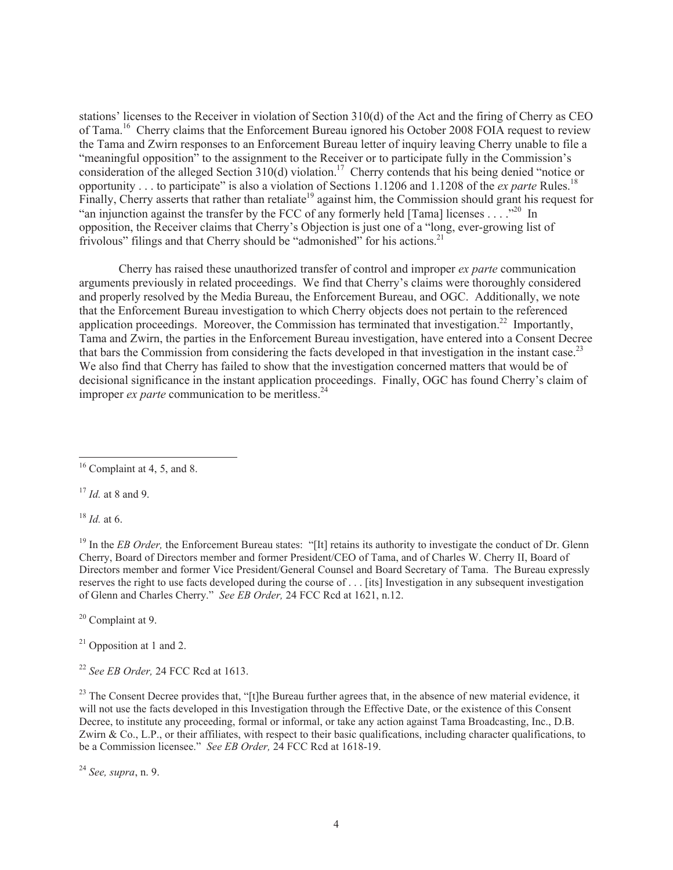stations' licenses to the Receiver in violation of Section 310(d) of the Act and the firing of Cherry as CEO of Tama.<sup>16</sup> Cherry claims that the Enforcement Bureau ignored his October 2008 FOIA request to review the Tama and Zwirn responses to an Enforcement Bureau letter of inquiry leaving Cherry unable to file a "meaningful opposition" to the assignment to the Receiver or to participate fully in the Commission's consideration of the alleged Section  $310(d)$  violation.<sup>17</sup> Cherry contends that his being denied "notice or opportunity . . . to participate" is also a violation of Sections 1.1206 and 1.1208 of the *ex parte* Rules.<sup>18</sup> Finally, Cherry asserts that rather than retaliate<sup>19</sup> against him, the Commission should grant his request for "an injunction against the transfer by the FCC of any formerly held [Tama] licenses  $\ldots$ ."<sup>20</sup> In opposition, the Receiver claims that Cherry's Objection is just one of a "long, ever-growing list of frivolous" filings and that Cherry should be "admonished" for his actions.<sup>21</sup>

Cherry has raised these unauthorized transfer of control and improper *ex parte* communication arguments previously in related proceedings. We find that Cherry's claims were thoroughly considered and properly resolved by the Media Bureau, the Enforcement Bureau, and OGC. Additionally, we note that the Enforcement Bureau investigation to which Cherry objects does not pertain to the referenced application proceedings. Moreover, the Commission has terminated that investigation.<sup>22</sup> Importantly, Tama and Zwirn, the parties in the Enforcement Bureau investigation, have entered into a Consent Decree that bars the Commission from considering the facts developed in that investigation in the instant case.<sup>23</sup> We also find that Cherry has failed to show that the investigation concerned matters that would be of decisional significance in the instant application proceedings. Finally, OGC has found Cherry's claim of improper *ex parte* communication to be meritless.<sup>24</sup>

<sup>17</sup> *Id.* at 8 and 9.

<sup>18</sup> *Id.* at 6.

<sup>19</sup> In the *EB Order*, the Enforcement Bureau states: "[It] retains its authority to investigate the conduct of Dr. Glenn Cherry, Board of Directors member and former President/CEO of Tama, and of Charles W. Cherry II, Board of Directors member and former Vice President/General Counsel and Board Secretary of Tama. The Bureau expressly reserves the right to use facts developed during the course of . . . [its] Investigation in any subsequent investigation of Glenn and Charles Cherry." *See EB Order,* 24 FCC Rcd at 1621, n.12.

<sup>20</sup> Complaint at 9.

 $21$  Opposition at 1 and 2.

<sup>22</sup> *See EB Order,* 24 FCC Rcd at 1613.

 $^{23}$  The Consent Decree provides that, "[t]he Bureau further agrees that, in the absence of new material evidence, it will not use the facts developed in this Investigation through the Effective Date, or the existence of this Consent Decree, to institute any proceeding, formal or informal, or take any action against Tama Broadcasting, Inc., D.B. Zwirn & Co., L.P., or their affiliates, with respect to their basic qualifications, including character qualifications, to be a Commission licensee." *See EB Order,* 24 FCC Rcd at 1618-19.

<sup>24</sup> *See, supra*, n. 9.

 $16$  Complaint at 4, 5, and 8.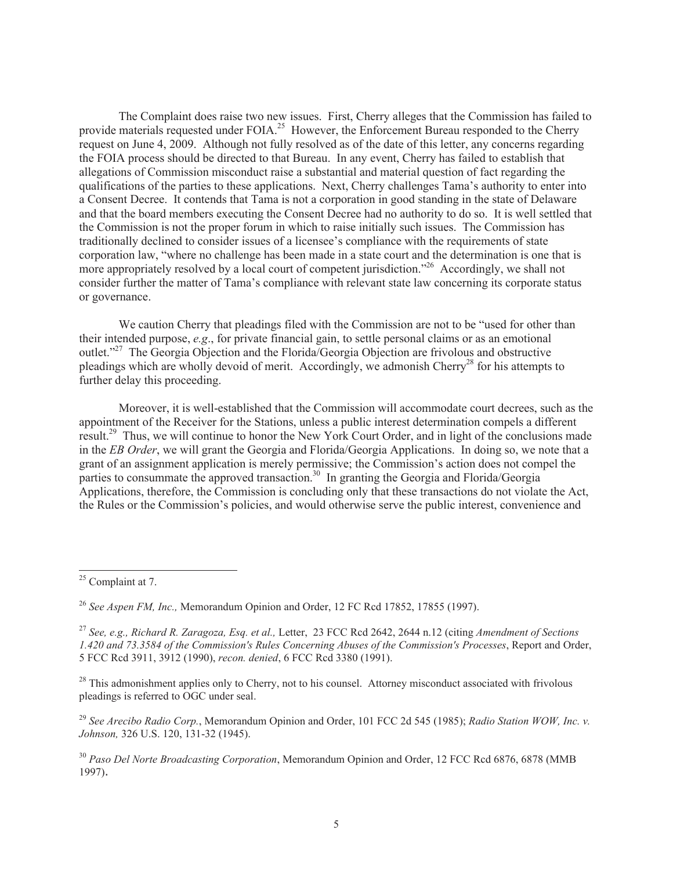The Complaint does raise two new issues. First, Cherry alleges that the Commission has failed to provide materials requested under FOIA.<sup>25</sup> However, the Enforcement Bureau responded to the Cherry request on June 4, 2009. Although not fully resolved as of the date of this letter, any concerns regarding the FOIA process should be directed to that Bureau. In any event, Cherry has failed to establish that allegations of Commission misconduct raise a substantial and material question of fact regarding the qualifications of the parties to these applications. Next, Cherry challenges Tama's authority to enter into a Consent Decree. It contends that Tama is not a corporation in good standing in the state of Delaware and that the board members executing the Consent Decree had no authority to do so. It is well settled that the Commission is not the proper forum in which to raise initially such issues. The Commission has traditionally declined to consider issues of a licensee's compliance with the requirements of state corporation law, "where no challenge has been made in a state court and the determination is one that is more appropriately resolved by a local court of competent jurisdiction."<sup>26</sup> Accordingly, we shall not consider further the matter of Tama's compliance with relevant state law concerning its corporate status or governance.

We caution Cherry that pleadings filed with the Commission are not to be "used for other than their intended purpose, *e.g*., for private financial gain, to settle personal claims or as an emotional outlet."<sup>27</sup> The Georgia Objection and the Florida/Georgia Objection are frivolous and obstructive pleadings which are wholly devoid of merit. Accordingly, we admonish Cherry<sup>28</sup> for his attempts to further delay this proceeding.

Moreover, it is well-established that the Commission will accommodate court decrees, such as the appointment of the Receiver for the Stations, unless a public interest determination compels a different result.<sup>29</sup> Thus, we will continue to honor the New York Court Order, and in light of the conclusions made in the *EB Order*, we will grant the Georgia and Florida/Georgia Applications. In doing so, we note that a grant of an assignment application is merely permissive; the Commission's action does not compel the parties to consummate the approved transaction.<sup>30</sup> In granting the Georgia and Florida/Georgia Applications, therefore, the Commission is concluding only that these transactions do not violate the Act, the Rules or the Commission's policies, and would otherwise serve the public interest, convenience and

 $25$  Complaint at 7.

<sup>26</sup> *See Aspen FM, Inc.,* Memorandum Opinion and Order, 12 FC Rcd 17852, 17855 (1997).

<sup>27</sup> *See, e.g., Richard R. Zaragoza, Esq. et al.,* Letter, 23 FCC Rcd 2642, 2644 n.12 (citing *Amendment of Sections 1.420 and 73.3584 of the Commission's Rules Concerning Abuses of the Commission's Processes*, Report and Order, 5 FCC Rcd 3911, 3912 (1990), *recon. denied*, 6 FCC Rcd 3380 (1991).

<sup>&</sup>lt;sup>28</sup> This admonishment applies only to Cherry, not to his counsel. Attorney misconduct associated with frivolous pleadings is referred to OGC under seal.

<sup>29</sup> *See Arecibo Radio Corp.*, Memorandum Opinion and Order, 101 FCC 2d 545 (1985); *Radio Station WOW, Inc. v. Johnson,* 326 U.S. 120, 131-32 (1945).

<sup>30</sup> *Paso Del Norte Broadcasting Corporation*, Memorandum Opinion and Order, 12 FCC Rcd 6876, 6878 (MMB 1997).